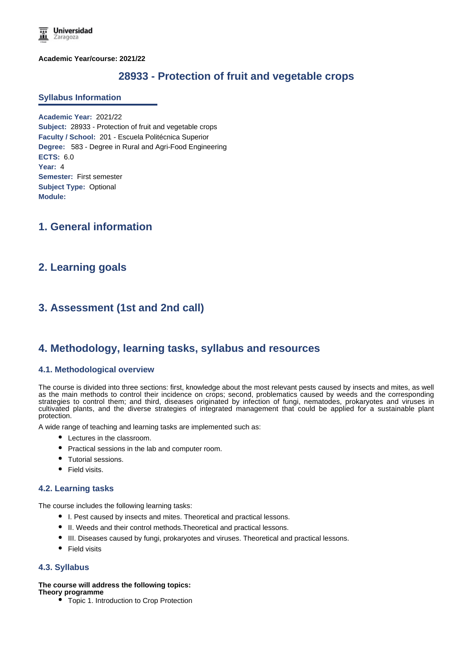**Academic Year/course: 2021/22**

# **28933 - Protection of fruit and vegetable crops**

### **Syllabus Information**

**Academic Year:** 2021/22 **Subject:** 28933 - Protection of fruit and vegetable crops **Faculty / School:** 201 - Escuela Politécnica Superior **Degree:** 583 - Degree in Rural and Agri-Food Engineering **ECTS:** 6.0 **Year:** 4 **Semester:** First semester **Subject Type:** Optional **Module:**

# **1. General information**

# **2. Learning goals**

# **3. Assessment (1st and 2nd call)**

# **4. Methodology, learning tasks, syllabus and resources**

### **4.1. Methodological overview**

The course is divided into three sections: first, knowledge about the most relevant pests caused by insects and mites, as well as the main methods to control their incidence on crops; second, problematics caused by weeds and the corresponding strategies to control them; and third, diseases originated by infection of fungi, nematodes, prokaryotes and viruses in cultivated plants, and the diverse strategies of integrated management that could be applied for a sustainable plant protection.

A wide range of teaching and learning tasks are implemented such as:

- Lectures in the classroom.
- Practical sessions in the lab and computer room.
- Tutorial sessions.
- Field visits.

## **4.2. Learning tasks**

The course includes the following learning tasks:

- I. Pest caused by insects and mites. Theoretical and practical lessons.
- II. Weeds and their control methods. Theoretical and practical lessons.
- III. Diseases caused by fungi, prokaryotes and viruses. Theoretical and practical lessons.
- Field visits

### **4.3. Syllabus**

### **The course will address the following topics:**

- **Theory programme**
	- Topic 1. Introduction to Crop Protection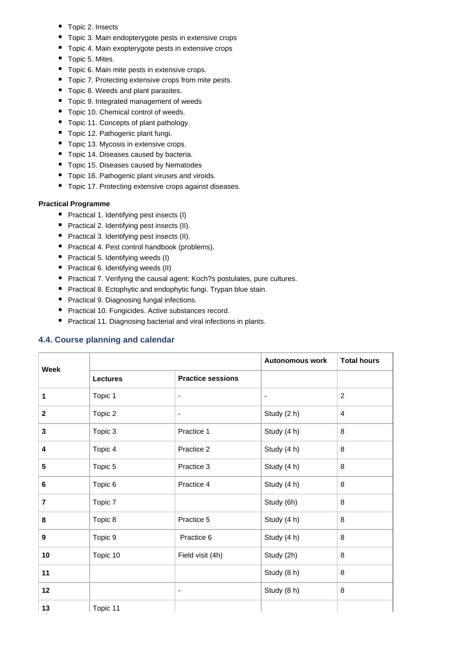- Topic 2. Insects
- Topic 3. Main endopterygote pests in extensive crops
- Topic 4. Main exopterygote pests in extensive crops
- Topic 5. Mites.
- Topic 6. Main mite pests in extensive crops.
- Topic 7. Protecting extensive crops from mite pests.
- Topic 8. Weeds and plant parasites.
- Topic 9. Integrated management of weeds
- Topic 10. Chemical control of weeds.
- Topic 11. Concepts of plant pathology.
- Topic 12. Pathogenic plant fungi.
- Topic 13. Mycosis in extensive crops.
- Topic 14. Diseases caused by bacteria.
- Topic 15. Diseases caused by Nematodes
- Topic 16. Pathogenic plant viruses and viroids.
- Topic 17. Protecting extensive crops against diseases.

## **Practical Programme**

- Practical 1. Identifying pest insects (I)
- Practical 2. Identifying pest insects (II).
- Practical 3. Identifying pest insects (II).
- Practical 4. Pest control handbook (problems).
- Practical 5. Identifying weeds (I)
- Practical 6. Identifying weeds (II)
- Practical 7. Verifying the causal agent: Koch?s postulates, pure cultures.
- Practical 8. Ectophytic and endophytic fungi. Trypan blue stain.
- Practical 9. Diagnosing fungal infections.
- **•** Practical 10. Fungicides. Active substances record.
- Practical 11. Diagnosing bacterial and viral infections in plants.

## **4.4. Course planning and calendar**

| <b>Week</b>    |                 |                          | <b>Autonomous work</b> | <b>Total hours</b> |
|----------------|-----------------|--------------------------|------------------------|--------------------|
|                | <b>Lectures</b> | <b>Practice sessions</b> |                        |                    |
| 1              | Topic 1         | $\overline{\phantom{a}}$ | ٠                      | $\overline{c}$     |
| $\mathbf{2}$   | Topic 2         | ٠                        | Study (2 h)            | 4                  |
| 3              | Topic 3         | Practice 1               | Study (4 h)            | 8                  |
| 4              | Topic 4         | Practice 2               | Study (4 h)            | 8                  |
| 5              | Topic 5         | Practice 3               | Study (4 h)            | 8                  |
| 6              | Topic 6         | Practice 4               | Study (4 h)            | 8                  |
| $\overline{7}$ | Topic 7         |                          | Study (6h)             | 8                  |
| 8              | Topic 8         | Practice 5               | Study (4 h)            | 8                  |
| 9              | Topic 9         | Practice 6               | Study (4 h)            | 8                  |
| 10             | Topic 10        | Field visit (4h)         | Study (2h)             | 8                  |
| 11             |                 |                          | Study (8 h)            | 8                  |
| 12             |                 | $\overline{\phantom{a}}$ | Study (8 h)            | 8                  |
| 13             | Topic 11        |                          |                        |                    |